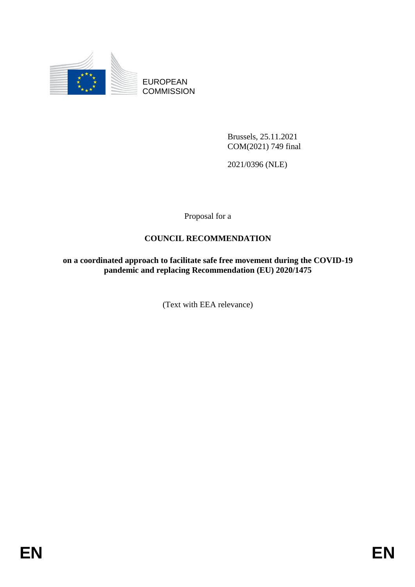

EUROPEAN **COMMISSION** 

> Brussels, 25.11.2021 COM(2021) 749 final

2021/0396 (NLE)

Proposal for a

# **COUNCIL RECOMMENDATION**

**on a coordinated approach to facilitate safe free movement during the COVID-19 pandemic and replacing Recommendation (EU) 2020/1475**

(Text with EEA relevance)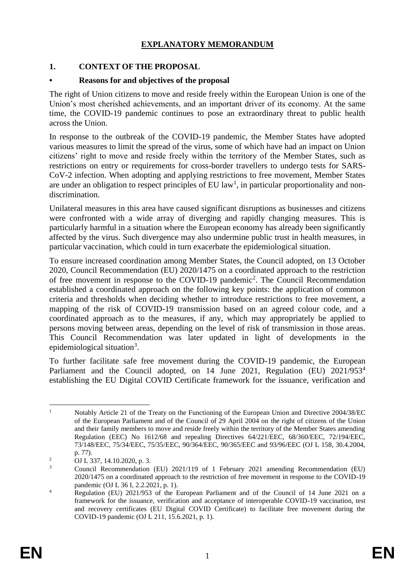# **EXPLANATORY MEMORANDUM**

## **1. CONTEXT OF THE PROPOSAL**

### **• Reasons for and objectives of the proposal**

The right of Union citizens to move and reside freely within the European Union is one of the Union's most cherished achievements, and an important driver of its economy. At the same time, the COVID-19 pandemic continues to pose an extraordinary threat to public health across the Union.

In response to the outbreak of the COVID-19 pandemic, the Member States have adopted various measures to limit the spread of the virus, some of which have had an impact on Union citizens' right to move and reside freely within the territory of the Member States, such as restrictions on entry or requirements for cross-border travellers to undergo tests for SARS-CoV-2 infection. When adopting and applying restrictions to free movement, Member States are under an obligation to respect principles of EU  $law<sup>1</sup>$ , in particular proportionality and nondiscrimination.

Unilateral measures in this area have caused significant disruptions as businesses and citizens were confronted with a wide array of diverging and rapidly changing measures. This is particularly harmful in a situation where the European economy has already been significantly affected by the virus. Such divergence may also undermine public trust in health measures, in particular vaccination, which could in turn exacerbate the epidemiological situation.

To ensure increased coordination among Member States, the Council adopted, on 13 October 2020, Council Recommendation (EU) 2020/1475 on a coordinated approach to the restriction of free movement in response to the COVID-19 pandemic<sup>2</sup>. The Council Recommendation established a coordinated approach on the following key points: the application of common criteria and thresholds when deciding whether to introduce restrictions to free movement, a mapping of the risk of COVID-19 transmission based on an agreed colour code, and a coordinated approach as to the measures, if any, which may appropriately be applied to persons moving between areas, depending on the level of risk of transmission in those areas. This Council Recommendation was later updated in light of developments in the epidemiological situation<sup>3</sup>.

To further facilitate safe free movement during the COVID-19 pandemic, the European Parliament and the Council adopted, on 14 June 2021, Regulation (EU) 2021/953<sup>4</sup> establishing the EU Digital COVID Certificate framework for the issuance, verification and

 $\mathbf{1}$ Notably Article 21 of the Treaty on the Functioning of the European Union and Directive 2004/38/EC of the European Parliament and of the Council of 29 April 2004 on the right of citizens of the Union and their family members to move and reside freely within the territory of the Member States amending Regulation (EEC) No 1612/68 and repealing Directives 64/221/EEC, 68/360/EEC, 72/194/EEC, 73/148/EEC, 75/34/EEC, 75/35/EEC, 90/364/EEC, 90/365/EEC and 93/96/EEC (OJ L 158, 30.4.2004, p. 77).

<sup>&</sup>lt;sup>2</sup> OJ L 337, 14.10.2020, p. 3.

<sup>3</sup> Council Recommendation (EU) 2021/119 of 1 February 2021 amending Recommendation (EU) 2020/1475 on a coordinated approach to the restriction of free movement in response to the COVID-19 pandemic (OJ L 36 I, 2.2.2021, p. 1).

<sup>&</sup>lt;sup>4</sup> Regulation (EU) 2021/953 of the European Parliament and of the Council of 14 June 2021 on a framework for the issuance, verification and acceptance of interoperable COVID-19 vaccination, test and recovery certificates (EU Digital COVID Certificate) to facilitate free movement during the COVID-19 pandemic (OJ L 211, 15.6.2021, p. 1).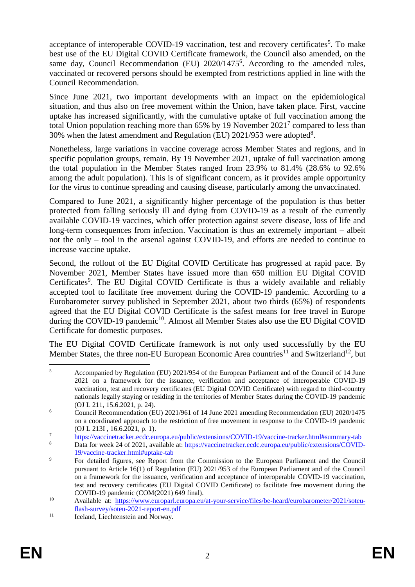acceptance of interoperable COVID-19 vaccination, test and recovery certificates<sup>5</sup>. To make best use of the EU Digital COVID Certificate framework, the Council also amended, on the same day, Council Recommendation (EU) 2020/1475<sup>6</sup>. According to the amended rules, vaccinated or recovered persons should be exempted from restrictions applied in line with the Council Recommendation.

Since June 2021, two important developments with an impact on the epidemiological situation, and thus also on free movement within the Union, have taken place. First, vaccine uptake has increased significantly, with the cumulative uptake of full vaccination among the total Union population reaching more than  $65\%$  by 19 November  $2021^7$  compared to less than 30% when the latest amendment and Regulation (EU)  $2021/953$  were adopted<sup>8</sup>.

Nonetheless, large variations in vaccine coverage across Member States and regions, and in specific population groups, remain. By 19 November 2021, uptake of full vaccination among the total population in the Member States ranged from 23.9% to 81.4% (28.6% to 92.6% among the adult population). This is of significant concern, as it provides ample opportunity for the virus to continue spreading and causing disease, particularly among the unvaccinated.

Compared to June 2021, a significantly higher percentage of the population is thus better protected from falling seriously ill and dying from COVID-19 as a result of the currently available COVID-19 vaccines, which offer protection against severe disease, loss of life and long-term consequences from infection. Vaccination is thus an extremely important – albeit not the only – tool in the arsenal against COVID-19, and efforts are needed to continue to increase vaccine uptake.

Second, the rollout of the EU Digital COVID Certificate has progressed at rapid pace. By November 2021, Member States have issued more than 650 million EU Digital COVID Certificates<sup>9</sup>. The EU Digital COVID Certificate is thus a widely available and reliably accepted tool to facilitate free movement during the COVID-19 pandemic. According to a Eurobarometer survey published in September 2021, about two thirds (65%) of respondents agreed that the EU Digital COVID Certificate is the safest means for free travel in Europe during the COVID-19 pandemic<sup>10</sup>. Almost all Member States also use the EU Digital COVID Certificate for domestic purposes.

The EU Digital COVID Certificate framework is not only used successfully by the EU Member States, the three non-EU European Economic Area countries<sup>11</sup> and Switzerland<sup>12</sup>, but

 $\overline{5}$ <sup>5</sup> Accompanied by Regulation (EU) 2021/954 of the European Parliament and of the Council of 14 June 2021 on a framework for the issuance, verification and acceptance of interoperable COVID-19 vaccination, test and recovery certificates (EU Digital COVID Certificate) with regard to third-country nationals legally staying or residing in the territories of Member States during the COVID-19 pandemic (OJ L 211, 15.6.2021, p. 24).

<sup>&</sup>lt;sup>6</sup> Council Recommendation (EU) 2021/961 of 14 June 2021 amending Recommendation (EU) 2020/1475 on a coordinated approach to the restriction of free movement in response to the COVID-19 pandemic (OJ L 213I , 16.6.2021, p. 1).

<sup>7</sup> <https://vaccinetracker.ecdc.europa.eu/public/extensions/COVID-19/vaccine-tracker.html#summary-tab>

<sup>8</sup> Data for week 24 of 2021, available at: [https://vaccinetracker.ecdc.europa.eu/public/extensions/COVID-](https://vaccinetracker.ecdc.europa.eu/public/extensions/COVID-19/vaccine-tracker.html#uptake-tab)[19/vaccine-tracker.html#uptake-tab](https://vaccinetracker.ecdc.europa.eu/public/extensions/COVID-19/vaccine-tracker.html#uptake-tab)

<sup>&</sup>lt;sup>9</sup> For detailed figures, see Report from the Commission to the European Parliament and the Council pursuant to Article 16(1) of Regulation (EU) 2021/953 of the European Parliament and of the Council on a framework for the issuance, verification and acceptance of interoperable COVID-19 vaccination, test and recovery certificates (EU Digital COVID Certificate) to facilitate free movement during the COVID-19 pandemic (COM(2021) 649 final).

<sup>10</sup> Available at: [https://www.europarl.europa.eu/at-your-service/files/be-heard/eurobarometer/2021/soteu](https://www.europarl.europa.eu/at-your-service/files/be-heard/eurobarometer/2021/soteu-flash-survey/soteu-2021-report-en.pdf)[flash-survey/soteu-2021-report-en.pdf](https://www.europarl.europa.eu/at-your-service/files/be-heard/eurobarometer/2021/soteu-flash-survey/soteu-2021-report-en.pdf)

<sup>&</sup>lt;sup>11</sup> Iceland, Liechtenstein and Norway.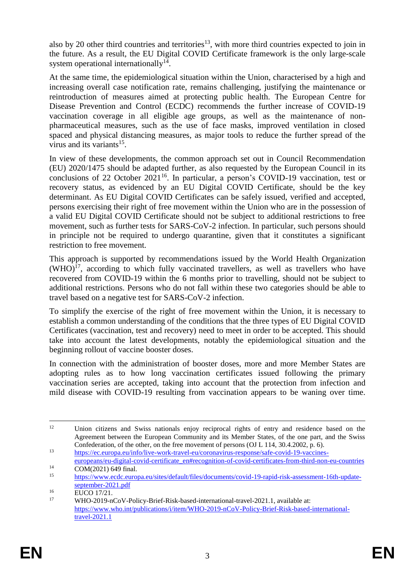also by 20 other third countries and territories<sup>13</sup>, with more third countries expected to join in the future. As a result, the EU Digital COVID Certificate framework is the only large-scale system operational internationally<sup>14</sup>.

At the same time, the epidemiological situation within the Union, characterised by a high and increasing overall case notification rate, remains challenging, justifying the maintenance or reintroduction of measures aimed at protecting public health. The European Centre for Disease Prevention and Control (ECDC) recommends the further increase of COVID-19 vaccination coverage in all eligible age groups, as well as the maintenance of nonpharmaceutical measures, such as the use of face masks, improved ventilation in closed spaced and physical distancing measures, as major tools to reduce the further spread of the virus and its variants<sup>15</sup>.

In view of these developments, the common approach set out in Council Recommendation (EU) 2020/1475 should be adapted further, as also requested by the European Council in its conclusions of 22 October  $2021^{16}$ . In particular, a person's COVID-19 vaccination, test or recovery status, as evidenced by an EU Digital COVID Certificate, should be the key determinant. As EU Digital COVID Certificates can be safely issued, verified and accepted, persons exercising their right of free movement within the Union who are in the possession of a valid EU Digital COVID Certificate should not be subject to additional restrictions to free movement, such as further tests for SARS-CoV-2 infection. In particular, such persons should in principle not be required to undergo quarantine, given that it constitutes a significant restriction to free movement.

This approach is supported by recommendations issued by the World Health Organization  $(WHO)^{17}$ , according to which fully vaccinated travellers, as well as travellers who have recovered from COVID-19 within the 6 months prior to travelling, should not be subject to additional restrictions. Persons who do not fall within these two categories should be able to travel based on a negative test for SARS-CoV-2 infection.

To simplify the exercise of the right of free movement within the Union, it is necessary to establish a common understanding of the conditions that the three types of EU Digital COVID Certificates (vaccination, test and recovery) need to meet in order to be accepted. This should take into account the latest developments, notably the epidemiological situation and the beginning rollout of vaccine booster doses.

In connection with the administration of booster doses, more and more Member States are adopting rules as to how long vaccination certificates issued following the primary vaccination series are accepted, taking into account that the protection from infection and mild disease with COVID-19 resulting from vaccination appears to be waning over time.

 $12$ <sup>12</sup> Union citizens and Swiss nationals enjoy reciprocal rights of entry and residence based on the Agreement between the European Community and its Member States, of the one part, and the Swiss Confederation, of the other, on the free movement of persons (OJ L 114, 30.4.2002, p. 6).

<sup>13</sup> [https://ec.europa.eu/info/live-work-travel-eu/coronavirus-response/safe-covid-19-vaccines](https://ec.europa.eu/info/live-work-travel-eu/coronavirus-response/safe-covid-19-vaccines-europeans/eu-digital-covid-certificate_en#recognition-of-covid-certificates-from-third-non-eu-countries)[europeans/eu-digital-covid-certificate\\_en#recognition-of-covid-certificates-from-third-non-eu-countries](https://ec.europa.eu/info/live-work-travel-eu/coronavirus-response/safe-covid-19-vaccines-europeans/eu-digital-covid-certificate_en#recognition-of-covid-certificates-from-third-non-eu-countries)

 $14 \over 15$  COM(2021) 649 final.

<sup>15</sup> [https://www.ecdc.europa.eu/sites/default/files/documents/covid-19-rapid-risk-assessment-16th-update](https://www.ecdc.europa.eu/sites/default/files/documents/covid-19-rapid-risk-assessment-16th-update-september-2021.pdf)[september-2021.pdf](https://www.ecdc.europa.eu/sites/default/files/documents/covid-19-rapid-risk-assessment-16th-update-september-2021.pdf)

<sup>16</sup> EUCO 17/21.

<sup>17</sup> WHO-2019-nCoV-Policy-Brief-Risk-based-international-travel-2021.1, available at: [https://www.who.int/publications/i/item/WHO-2019-nCoV-Policy-Brief-Risk-based-international](https://www.who.int/publications/i/item/WHO-2019-nCoV-Policy-Brief-Risk-based-international-travel-2021.1)[travel-2021.1](https://www.who.int/publications/i/item/WHO-2019-nCoV-Policy-Brief-Risk-based-international-travel-2021.1)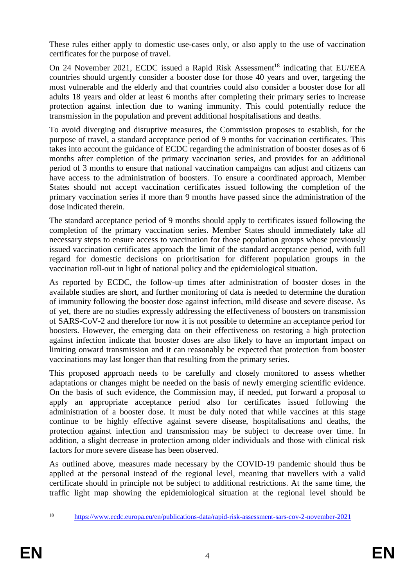These rules either apply to domestic use-cases only, or also apply to the use of vaccination certificates for the purpose of travel.

On 24 November 2021, ECDC issued a Rapid Risk Assessment<sup>18</sup> indicating that EU/EEA countries should urgently consider a booster dose for those 40 years and over, targeting the most vulnerable and the elderly and that countries could also consider a booster dose for all adults 18 years and older at least 6 months after completing their primary series to increase protection against infection due to waning immunity. This could potentially reduce the transmission in the population and prevent additional hospitalisations and deaths.

To avoid diverging and disruptive measures, the Commission proposes to establish, for the purpose of travel, a standard acceptance period of 9 months for vaccination certificates. This takes into account the guidance of ECDC regarding the administration of booster doses as of 6 months after completion of the primary vaccination series, and provides for an additional period of 3 months to ensure that national vaccination campaigns can adjust and citizens can have access to the administration of boosters. To ensure a coordinated approach, Member States should not accept vaccination certificates issued following the completion of the primary vaccination series if more than 9 months have passed since the administration of the dose indicated therein.

The standard acceptance period of 9 months should apply to certificates issued following the completion of the primary vaccination series. Member States should immediately take all necessary steps to ensure access to vaccination for those population groups whose previously issued vaccination certificates approach the limit of the standard acceptance period, with full regard for domestic decisions on prioritisation for different population groups in the vaccination roll-out in light of national policy and the epidemiological situation.

As reported by ECDC, the follow-up times after administration of booster doses in the available studies are short, and further monitoring of data is needed to determine the duration of immunity following the booster dose against infection, mild disease and severe disease. As of yet, there are no studies expressly addressing the effectiveness of boosters on transmission of SARS-CoV-2 and therefore for now it is not possible to determine an acceptance period for boosters. However, the emerging data on their effectiveness on restoring a high protection against infection indicate that booster doses are also likely to have an important impact on limiting onward transmission and it can reasonably be expected that protection from booster vaccinations may last longer than that resulting from the primary series.

This proposed approach needs to be carefully and closely monitored to assess whether adaptations or changes might be needed on the basis of newly emerging scientific evidence. On the basis of such evidence, the Commission may, if needed, put forward a proposal to apply an appropriate acceptance period also for certificates issued following the administration of a booster dose. It must be duly noted that while vaccines at this stage continue to be highly effective against severe disease, hospitalisations and deaths, the protection against infection and transmission may be subject to decrease over time. In addition, a slight decrease in protection among older individuals and those with clinical risk factors for more severe disease has been observed.

As outlined above, measures made necessary by the COVID-19 pandemic should thus be applied at the personal instead of the regional level, meaning that travellers with a valid certificate should in principle not be subject to additional restrictions. At the same time, the traffic light map showing the epidemiological situation at the regional level should be

 $18$ <sup>18</sup> <https://www.ecdc.europa.eu/en/publications-data/rapid-risk-assessment-sars-cov-2-november-2021>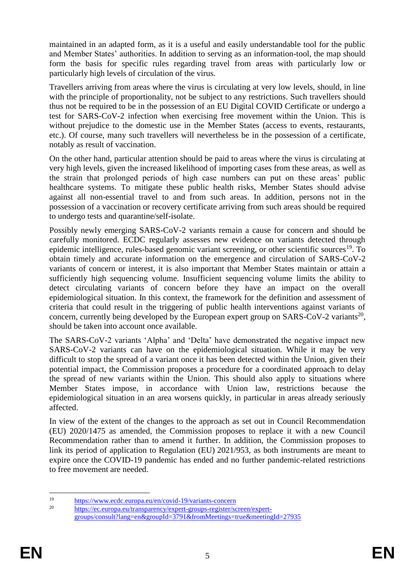maintained in an adapted form, as it is a useful and easily understandable tool for the public and Member States' authorities. In addition to serving as an information-tool, the map should form the basis for specific rules regarding travel from areas with particularly low or particularly high levels of circulation of the virus.

Travellers arriving from areas where the virus is circulating at very low levels, should, in line with the principle of proportionality, not be subject to any restrictions. Such travellers should thus not be required to be in the possession of an EU Digital COVID Certificate or undergo a test for SARS-CoV-2 infection when exercising free movement within the Union. This is without prejudice to the domestic use in the Member States (access to events, restaurants, etc.). Of course, many such travellers will nevertheless be in the possession of a certificate, notably as result of vaccination.

On the other hand, particular attention should be paid to areas where the virus is circulating at very high levels, given the increased likelihood of importing cases from these areas, as well as the strain that prolonged periods of high case numbers can put on these areas' public healthcare systems. To mitigate these public health risks, Member States should advise against all non-essential travel to and from such areas. In addition, persons not in the possession of a vaccination or recovery certificate arriving from such areas should be required to undergo tests and quarantine/self-isolate.

Possibly newly emerging SARS-CoV-2 variants remain a cause for concern and should be carefully monitored. ECDC regularly assesses new evidence on variants detected through epidemic intelligence, rules-based genomic variant screening, or other scientific sources<sup>19</sup>. To obtain timely and accurate information on the emergence and circulation of SARS-CoV-2 variants of concern or interest, it is also important that Member States maintain or attain a sufficiently high sequencing volume. Insufficient sequencing volume limits the ability to detect circulating variants of concern before they have an impact on the overall epidemiological situation. In this context, the framework for the definition and assessment of criteria that could result in the triggering of public health interventions against variants of concern, currently being developed by the European expert group on SARS-CoV-2 variants<sup>20</sup>, should be taken into account once available.

The SARS-CoV-2 variants 'Alpha' and 'Delta' have demonstrated the negative impact new SARS-CoV-2 variants can have on the epidemiological situation. While it may be very difficult to stop the spread of a variant once it has been detected within the Union, given their potential impact, the Commission proposes a procedure for a coordinated approach to delay the spread of new variants within the Union. This should also apply to situations where Member States impose, in accordance with Union law, restrictions because the epidemiological situation in an area worsens quickly, in particular in areas already seriously affected.

In view of the extent of the changes to the approach as set out in Council Recommendation (EU) 2020/1475 as amended, the Commission proposes to replace it with a new Council Recommendation rather than to amend it further. In addition, the Commission proposes to link its period of application to Regulation (EU) 2021/953, as both instruments are meant to expire once the COVID-19 pandemic has ended and no further pandemic-related restrictions to free movement are needed.

 $19$  $\frac{19}{20}$  <https://www.ecdc.europa.eu/en/covid-19/variants-concern><br>20

[https://ec.europa.eu/transparency/expert-groups-register/screen/expert](https://ec.europa.eu/transparency/expert-groups-register/screen/expert-groups/consult?lang=en&groupId=3791&fromMeetings=true&meetingId=27935)[groups/consult?lang=en&groupId=3791&fromMeetings=true&meetingId=27935](https://ec.europa.eu/transparency/expert-groups-register/screen/expert-groups/consult?lang=en&groupId=3791&fromMeetings=true&meetingId=27935)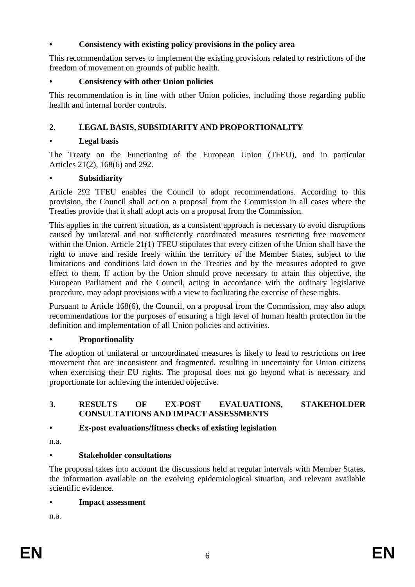## **• Consistency with existing policy provisions in the policy area**

This recommendation serves to implement the existing provisions related to restrictions of the freedom of movement on grounds of public health.

## **• Consistency with other Union policies**

This recommendation is in line with other Union policies, including those regarding public health and internal border controls.

## **2. LEGAL BASIS, SUBSIDIARITY AND PROPORTIONALITY**

### **• Legal basis**

The Treaty on the Functioning of the European Union (TFEU), and in particular Articles 21(2), 168(6) and 292.

#### **• Subsidiarity**

Article 292 TFEU enables the Council to adopt recommendations. According to this provision, the Council shall act on a proposal from the Commission in all cases where the Treaties provide that it shall adopt acts on a proposal from the Commission.

This applies in the current situation, as a consistent approach is necessary to avoid disruptions caused by unilateral and not sufficiently coordinated measures restricting free movement within the Union. Article 21(1) TFEU stipulates that every citizen of the Union shall have the right to move and reside freely within the territory of the Member States, subject to the limitations and conditions laid down in the Treaties and by the measures adopted to give effect to them. If action by the Union should prove necessary to attain this objective, the European Parliament and the Council, acting in accordance with the ordinary legislative procedure, may adopt provisions with a view to facilitating the exercise of these rights.

Pursuant to Article 168(6), the Council, on a proposal from the Commission, may also adopt recommendations for the purposes of ensuring a high level of human health protection in the definition and implementation of all Union policies and activities.

## **• Proportionality**

The adoption of unilateral or uncoordinated measures is likely to lead to restrictions on free movement that are inconsistent and fragmented, resulting in uncertainty for Union citizens when exercising their EU rights. The proposal does not go beyond what is necessary and proportionate for achieving the intended objective.

#### **3. RESULTS OF EX-POST EVALUATIONS, STAKEHOLDER CONSULTATIONS AND IMPACT ASSESSMENTS**

## **• Ex-post evaluations/fitness checks of existing legislation**

n.a.

## **• Stakeholder consultations**

The proposal takes into account the discussions held at regular intervals with Member States, the information available on the evolving epidemiological situation, and relevant available scientific evidence.

**• Impact assessment**

n.a.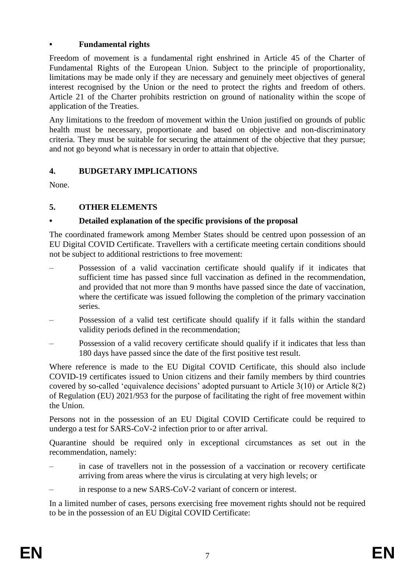## **• Fundamental rights**

Freedom of movement is a fundamental right enshrined in Article 45 of the Charter of Fundamental Rights of the European Union. Subject to the principle of proportionality, limitations may be made only if they are necessary and genuinely meet objectives of general interest recognised by the Union or the need to protect the rights and freedom of others. Article 21 of the Charter prohibits restriction on ground of nationality within the scope of application of the Treaties.

Any limitations to the freedom of movement within the Union justified on grounds of public health must be necessary, proportionate and based on objective and non-discriminatory criteria. They must be suitable for securing the attainment of the objective that they pursue; and not go beyond what is necessary in order to attain that objective.

# **4. BUDGETARY IMPLICATIONS**

None.

# **5. OTHER ELEMENTS**

# **• Detailed explanation of the specific provisions of the proposal**

The coordinated framework among Member States should be centred upon possession of an EU Digital COVID Certificate. Travellers with a certificate meeting certain conditions should not be subject to additional restrictions to free movement:

- Possession of a valid vaccination certificate should qualify if it indicates that sufficient time has passed since full vaccination as defined in the recommendation, and provided that not more than 9 months have passed since the date of vaccination, where the certificate was issued following the completion of the primary vaccination series.
- Possession of a valid test certificate should qualify if it falls within the standard validity periods defined in the recommendation;
- Possession of a valid recovery certificate should qualify if it indicates that less than 180 days have passed since the date of the first positive test result.

Where reference is made to the EU Digital COVID Certificate, this should also include COVID-19 certificates issued to Union citizens and their family members by third countries covered by so-called 'equivalence decisions' adopted pursuant to Article 3(10) or Article 8(2) of Regulation (EU) 2021/953 for the purpose of facilitating the right of free movement within the Union.

Persons not in the possession of an EU Digital COVID Certificate could be required to undergo a test for SARS-CoV-2 infection prior to or after arrival.

Quarantine should be required only in exceptional circumstances as set out in the recommendation, namely:

- in case of travellers not in the possession of a vaccination or recovery certificate arriving from areas where the virus is circulating at very high levels; or
- in response to a new SARS-CoV-2 variant of concern or interest.

In a limited number of cases, persons exercising free movement rights should not be required to be in the possession of an EU Digital COVID Certificate: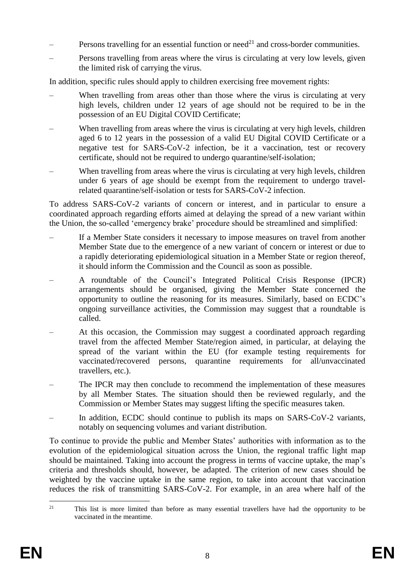- Persons travelling for an essential function or need<sup>21</sup> and cross-border communities.
- Persons travelling from areas where the virus is circulating at very low levels, given the limited risk of carrying the virus.

In addition, specific rules should apply to children exercising free movement rights:

- When travelling from areas other than those where the virus is circulating at very high levels, children under 12 years of age should not be required to be in the possession of an EU Digital COVID Certificate;
- When travelling from areas where the virus is circulating at very high levels, children aged 6 to 12 years in the possession of a valid EU Digital COVID Certificate or a negative test for SARS-CoV-2 infection, be it a vaccination, test or recovery certificate, should not be required to undergo quarantine/self-isolation;
- When travelling from areas where the virus is circulating at very high levels, children under 6 years of age should be exempt from the requirement to undergo travelrelated quarantine/self-isolation or tests for SARS-CoV-2 infection.

To address SARS-CoV-2 variants of concern or interest, and in particular to ensure a coordinated approach regarding efforts aimed at delaying the spread of a new variant within the Union, the so-called 'emergency brake' procedure should be streamlined and simplified:

- If a Member State considers it necessary to impose measures on travel from another Member State due to the emergence of a new variant of concern or interest or due to a rapidly deteriorating epidemiological situation in a Member State or region thereof, it should inform the Commission and the Council as soon as possible.
- A roundtable of the Council's Integrated Political Crisis Response (IPCR) arrangements should be organised, giving the Member State concerned the opportunity to outline the reasoning for its measures. Similarly, based on ECDC's ongoing surveillance activities, the Commission may suggest that a roundtable is called.
- At this occasion, the Commission may suggest a coordinated approach regarding travel from the affected Member State/region aimed, in particular, at delaying the spread of the variant within the EU (for example testing requirements for vaccinated/recovered persons, quarantine requirements for all/unvaccinated travellers, etc.).
- The IPCR may then conclude to recommend the implementation of these measures by all Member States. The situation should then be reviewed regularly, and the Commission or Member States may suggest lifting the specific measures taken.
- In addition, ECDC should continue to publish its maps on SARS-CoV-2 variants, notably on sequencing volumes and variant distribution.

To continue to provide the public and Member States' authorities with information as to the evolution of the epidemiological situation across the Union, the regional traffic light map should be maintained. Taking into account the progress in terms of vaccine uptake, the map's criteria and thresholds should, however, be adapted. The criterion of new cases should be weighted by the vaccine uptake in the same region, to take into account that vaccination reduces the risk of transmitting SARS-CoV-2. For example, in an area where half of the

 $21$ <sup>21</sup> This list is more limited than before as many essential travellers have had the opportunity to be vaccinated in the meantime.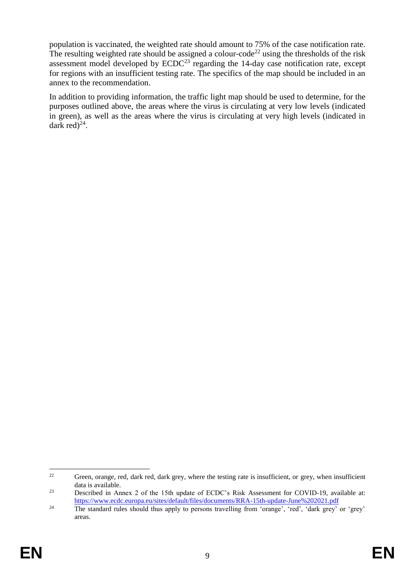population is vaccinated, the weighted rate should amount to 75% of the case notification rate. The resulting weighted rate should be assigned a colour-code<sup>22</sup> using the thresholds of the risk assessment model developed by  $ECDC<sup>23</sup>$  regarding the 14-day case notification rate, except for regions with an insufficient testing rate. The specifics of the map should be included in an annex to the recommendation.

In addition to providing information, the traffic light map should be used to determine, for the purposes outlined above, the areas where the virus is circulating at very low levels (indicated in green), as well as the areas where the virus is circulating at very high levels (indicated in dark red $)^{24}$ .

<sup>1</sup> <sup>22</sup> Green, orange, red, dark red, dark grey, where the testing rate is insufficient, or grey, when insufficient data is available.

<sup>&</sup>lt;sup>23</sup> Described in Annex 2 of the 15th update of ECDC's Risk Assessment for COVID-19, available at: <https://www.ecdc.europa.eu/sites/default/files/documents/RRA-15th-update-June%202021.pdf>

<sup>&</sup>lt;sup>24</sup> The standard rules should thus apply to persons travelling from 'orange', 'red', 'dark grey' or 'grey' areas.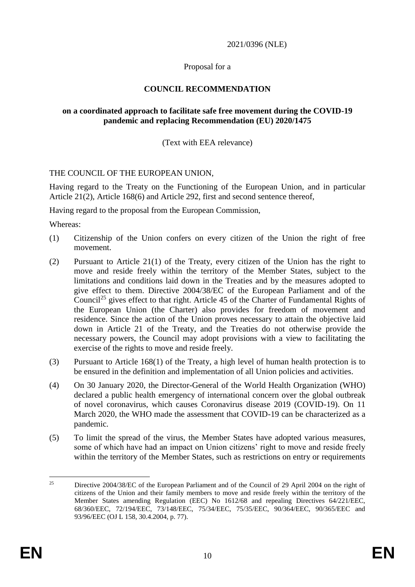2021/0396 (NLE)

### Proposal for a

# **COUNCIL RECOMMENDATION**

#### **on a coordinated approach to facilitate safe free movement during the COVID-19 pandemic and replacing Recommendation (EU) 2020/1475**

(Text with EEA relevance)

#### THE COUNCIL OF THE EUROPEAN UNION,

Having regard to the Treaty on the Functioning of the European Union, and in particular Article 21(2), Article 168(6) and Article 292, first and second sentence thereof,

Having regard to the proposal from the European Commission,

Whereas:

- (1) Citizenship of the Union confers on every citizen of the Union the right of free movement.
- (2) Pursuant to Article 21(1) of the Treaty, every citizen of the Union has the right to move and reside freely within the territory of the Member States, subject to the limitations and conditions laid down in the Treaties and by the measures adopted to give effect to them. Directive 2004/38/EC of the European Parliament and of the Council<sup>25</sup> gives effect to that right. Article 45 of the Charter of Fundamental Rights of the European Union (the Charter) also provides for freedom of movement and residence. Since the action of the Union proves necessary to attain the objective laid down in Article 21 of the Treaty, and the Treaties do not otherwise provide the necessary powers, the Council may adopt provisions with a view to facilitating the exercise of the rights to move and reside freely.
- (3) Pursuant to Article 168(1) of the Treaty, a high level of human health protection is to be ensured in the definition and implementation of all Union policies and activities.
- (4) On 30 January 2020, the Director-General of the World Health Organization (WHO) declared a public health emergency of international concern over the global outbreak of novel coronavirus, which causes Coronavirus disease 2019 (COVID-19). On 11 March 2020, the WHO made the assessment that COVID-19 can be characterized as a pandemic.
- (5) To limit the spread of the virus, the Member States have adopted various measures, some of which have had an impact on Union citizens' right to move and reside freely within the territory of the Member States, such as restrictions on entry or requirements

 $25$ <sup>25</sup> Directive 2004/38/EC of the European Parliament and of the Council of 29 April 2004 on the right of citizens of the Union and their family members to move and reside freely within the territory of the Member States amending Regulation (EEC) No 1612/68 and repealing Directives 64/221/EEC, 68/360/EEC, 72/194/EEC, 73/148/EEC, 75/34/EEC, 75/35/EEC, 90/364/EEC, 90/365/EEC and 93/96/EEC (OJ L 158, 30.4.2004, p. 77).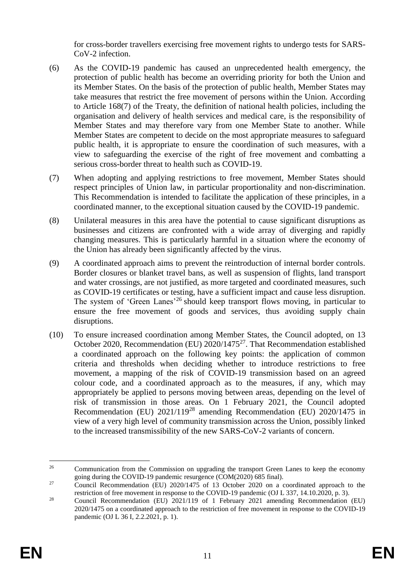for cross-border travellers exercising free movement rights to undergo tests for SARS-CoV-2 infection.

- (6) As the COVID-19 pandemic has caused an unprecedented health emergency, the protection of public health has become an overriding priority for both the Union and its Member States. On the basis of the protection of public health, Member States may take measures that restrict the free movement of persons within the Union. According to Article 168(7) of the Treaty, the definition of national health policies, including the organisation and delivery of health services and medical care, is the responsibility of Member States and may therefore vary from one Member State to another. While Member States are competent to decide on the most appropriate measures to safeguard public health, it is appropriate to ensure the coordination of such measures, with a view to safeguarding the exercise of the right of free movement and combatting a serious cross-border threat to health such as COVID-19.
- (7) When adopting and applying restrictions to free movement, Member States should respect principles of Union law, in particular proportionality and non-discrimination. This Recommendation is intended to facilitate the application of these principles, in a coordinated manner, to the exceptional situation caused by the COVID-19 pandemic.
- (8) Unilateral measures in this area have the potential to cause significant disruptions as businesses and citizens are confronted with a wide array of diverging and rapidly changing measures. This is particularly harmful in a situation where the economy of the Union has already been significantly affected by the virus.
- (9) A coordinated approach aims to prevent the reintroduction of internal border controls. Border closures or blanket travel bans, as well as suspension of flights, land transport and water crossings, are not justified, as more targeted and coordinated measures, such as COVID-19 certificates or testing, have a sufficient impact and cause less disruption. The system of 'Green Lanes'<sup>26</sup> should keep transport flows moving, in particular to ensure the free movement of goods and services, thus avoiding supply chain disruptions.
- (10) To ensure increased coordination among Member States, the Council adopted, on 13 October 2020, Recommendation (EU) 2020/1475<sup>27</sup>. That Recommendation established a coordinated approach on the following key points: the application of common criteria and thresholds when deciding whether to introduce restrictions to free movement, a mapping of the risk of COVID-19 transmission based on an agreed colour code, and a coordinated approach as to the measures, if any, which may appropriately be applied to persons moving between areas, depending on the level of risk of transmission in those areas. On 1 February 2021, the Council adopted Recommendation (EU) 2021/119<sup>28</sup> amending Recommendation (EU) 2020/1475 in view of a very high level of community transmission across the Union, possibly linked to the increased transmissibility of the new SARS-CoV-2 variants of concern.

<sup>&</sup>lt;u>.</u> <sup>26</sup> Communication from the Commission on upgrading the transport Green Lanes to keep the economy going during the COVID-19 pandemic resurgence (COM(2020) 685 final).

<sup>&</sup>lt;sup>27</sup> Council Recommendation (EU)  $2020/1475$  of 13 October 2020 on a coordinated approach to the restriction of free movement in response to the COVID-19 pandemic (OJ L 337, 14.10.2020, p. 3).

<sup>&</sup>lt;sup>28</sup> Council Recommendation (EU) 2021/119 of 1 February 2021 amending Recommendation (EU) 2020/1475 on a coordinated approach to the restriction of free movement in response to the COVID-19 pandemic (OJ L 36 I, 2.2.2021, p. 1).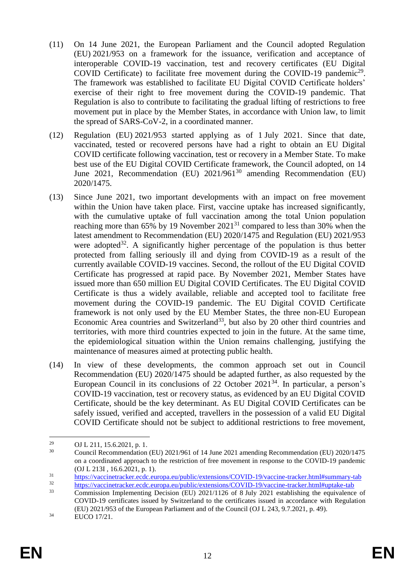- (11) On 14 June 2021, the European Parliament and the Council adopted Regulation (EU) 2021/953 on a framework for the issuance, verification and acceptance of interoperable COVID-19 vaccination, test and recovery certificates (EU Digital COVID Certificate) to facilitate free movement during the COVID-19 pandemic<sup>29</sup>. The framework was established to facilitate EU Digital COVID Certificate holders' exercise of their right to free movement during the COVID-19 pandemic. That Regulation is also to contribute to facilitating the gradual lifting of restrictions to free movement put in place by the Member States, in accordance with Union law, to limit the spread of SARS-CoV-2, in a coordinated manner.
- (12) Regulation (EU) 2021/953 started applying as of 1 July 2021. Since that date, vaccinated, tested or recovered persons have had a right to obtain an EU Digital COVID certificate following vaccination, test or recovery in a Member State. To make best use of the EU Digital COVID Certificate framework, the Council adopted, on 14 June 2021, Recommendation (EU) 2021/961<sup>30</sup> amending Recommendation (EU) 2020/1475.
- (13) Since June 2021, two important developments with an impact on free movement within the Union have taken place. First, vaccine uptake has increased significantly, with the cumulative uptake of full vaccination among the total Union population reaching more than 65% by 19 November  $2021^{31}$  compared to less than 30% when the latest amendment to Recommendation (EU) 2020/1475 and Regulation (EU) 2021/953 were adopted<sup>32</sup>. A significantly higher percentage of the population is thus better protected from falling seriously ill and dying from COVID-19 as a result of the currently available COVID-19 vaccines. Second, the rollout of the EU Digital COVID Certificate has progressed at rapid pace. By November 2021, Member States have issued more than 650 million EU Digital COVID Certificates. The EU Digital COVID Certificate is thus a widely available, reliable and accepted tool to facilitate free movement during the COVID-19 pandemic. The EU Digital COVID Certificate framework is not only used by the EU Member States, the three non-EU European Economic Area countries and Switzerland<sup>33</sup>, but also by 20 other third countries and territories, with more third countries expected to join in the future. At the same time, the epidemiological situation within the Union remains challenging, justifying the maintenance of measures aimed at protecting public health.
- (14) In view of these developments, the common approach set out in Council Recommendation (EU) 2020/1475 should be adapted further, as also requested by the European Council in its conclusions of 22 October 2021<sup>34</sup>. In particular, a person's COVID-19 vaccination, test or recovery status, as evidenced by an EU Digital COVID Certificate, should be the key determinant. As EU Digital COVID Certificates can be safely issued, verified and accepted, travellers in the possession of a valid EU Digital COVID Certificate should not be subject to additional restrictions to free movement,

<sup>&</sup>lt;u>.</u> <sup>29</sup> OJ L 211, 15.6.2021, p. 1.

<sup>&</sup>lt;sup>30</sup> Council Recommendation (EU) 2021/961 of 14 June 2021 amending Recommendation (EU) 2020/1475 on a coordinated approach to the restriction of free movement in response to the COVID-19 pandemic (OJ L 213I , 16.6.2021, p. 1).

<sup>&</sup>lt;sup>31</sup> <https://vaccinetracker.ecdc.europa.eu/public/extensions/COVID-19/vaccine-tracker.html#summary-tab><br>https://vaccinetracker.ecdc.europa.eu/public/extensions/COVID-19/vaccine-tracker.html#summary-tab

<sup>&</sup>lt;sup>32</sup> <https://vaccinetracker.ecdc.europa.eu/public/extensions/COVID-19/vaccine-tracker.html#uptake-tab><br>33 Commission Implementing Dacision (EU) 2021/1126 of 8 July 2021 attaliating the equivalence

<sup>33</sup> Commission Implementing Decision (EU) 2021/1126 of 8 July 2021 establishing the equivalence of COVID-19 certificates issued by Switzerland to the certificates issued in accordance with Regulation (EU) 2021/953 of the European Parliament and of the Council (OJ L 243, 9.7.2021, p. 49). <sup>34</sup> EUCO 17/21.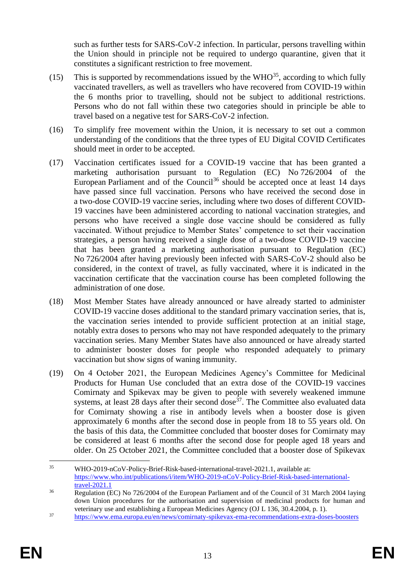such as further tests for SARS-CoV-2 infection. In particular, persons travelling within the Union should in principle not be required to undergo quarantine, given that it constitutes a significant restriction to free movement.

- (15) This is supported by recommendations issued by the WHO<sup>35</sup>, according to which fully vaccinated travellers, as well as travellers who have recovered from COVID-19 within the 6 months prior to travelling, should not be subject to additional restrictions. Persons who do not fall within these two categories should in principle be able to travel based on a negative test for SARS-CoV-2 infection.
- (16) To simplify free movement within the Union, it is necessary to set out a common understanding of the conditions that the three types of EU Digital COVID Certificates should meet in order to be accepted.
- (17) Vaccination certificates issued for a COVID-19 vaccine that has been granted a marketing authorisation pursuant to Regulation (EC) No 726/2004 of the European Parliament and of the Council<sup>36</sup> should be accepted once at least 14 days have passed since full vaccination. Persons who have received the second dose in a two-dose COVID-19 vaccine series, including where two doses of different COVID-19 vaccines have been administered according to national vaccination strategies, and persons who have received a single dose vaccine should be considered as fully vaccinated. Without prejudice to Member States' competence to set their vaccination strategies, a person having received a single dose of a two-dose COVID-19 vaccine that has been granted a marketing authorisation pursuant to Regulation (EC) No 726/2004 after having previously been infected with SARS-CoV-2 should also be considered, in the context of travel, as fully vaccinated, where it is indicated in the vaccination certificate that the vaccination course has been completed following the administration of one dose.
- (18) Most Member States have already announced or have already started to administer COVID-19 vaccine doses additional to the standard primary vaccination series, that is, the vaccination series intended to provide sufficient protection at an initial stage, notably extra doses to persons who may not have responded adequately to the primary vaccination series. Many Member States have also announced or have already started to administer booster doses for people who responded adequately to primary vaccination but show signs of waning immunity.
- (19) On 4 October 2021, the European Medicines Agency's Committee for Medicinal Products for Human Use concluded that an extra dose of the COVID-19 vaccines Comirnaty and Spikevax may be given to people with severely weakened immune systems, at least  $28$  days after their second dose<sup>37</sup>. The Committee also evaluated data for Comirnaty showing a rise in antibody levels when a booster dose is given approximately 6 months after the second dose in people from 18 to 55 years old. On the basis of this data, the Committee concluded that booster doses for Comirnaty may be considered at least 6 months after the second dose for people aged 18 years and older. On 25 October 2021, the Committee concluded that a booster dose of Spikevax

<sup>&</sup>lt;u>.</u> <sup>35</sup> WHO-2019-nCoV-Policy-Brief-Risk-based-international-travel-2021.1, available at: [https://www.who.int/publications/i/item/WHO-2019-nCoV-Policy-Brief-Risk-based-international](https://www.who.int/publications/i/item/WHO-2019-nCoV-Policy-Brief-Risk-based-international-travel-2021.1)[travel-2021.1](https://www.who.int/publications/i/item/WHO-2019-nCoV-Policy-Brief-Risk-based-international-travel-2021.1)

<sup>&</sup>lt;sup>36</sup> Regulation (EC) No 726/2004 of the European Parliament and of the Council of 31 March 2004 laying down Union procedures for the authorisation and supervision of medicinal products for human and veterinary use and establishing a European Medicines Agency (OJ L 136, 30.4.2004, p. 1).

<sup>37</sup> <https://www.ema.europa.eu/en/news/comirnaty-spikevax-ema-recommendations-extra-doses-boosters>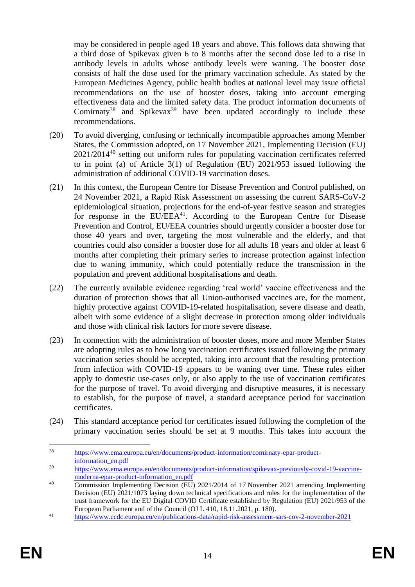may be considered in people aged 18 years and above. This follows data showing that a third dose of Spikevax given 6 to 8 months after the second dose led to a rise in antibody levels in adults whose antibody levels were waning. The booster dose consists of half the dose used for the primary vaccination schedule. As stated by the European Medicines Agency, public health bodies at national level may issue official recommendations on the use of booster doses, taking into account emerging effectiveness data and the limited safety data. The product information documents of Comirnaty<sup>38</sup> and Spikevax<sup>39</sup> have been updated accordingly to include these recommendations.

- (20) To avoid diverging, confusing or technically incompatible approaches among Member States, the Commission adopted, on 17 November 2021, Implementing Decision (EU) 2021/2014<sup>40</sup> setting out uniform rules for populating vaccination certificates referred to in point (a) of Article 3(1) of Regulation (EU) 2021/953 issued following the administration of additional COVID-19 vaccination doses.
- (21) In this context, the European Centre for Disease Prevention and Control published, on 24 November 2021, a Rapid Risk Assessment on assessing the current SARS-CoV-2 epidemiological situation, projections for the end-of-year festive season and strategies for response in the  $EU/EEA<sup>41</sup>$ . According to the European Centre for Disease Prevention and Control, EU/EEA countries should urgently consider a booster dose for those 40 years and over, targeting the most vulnerable and the elderly, and that countries could also consider a booster dose for all adults 18 years and older at least 6 months after completing their primary series to increase protection against infection due to waning immunity, which could potentially reduce the transmission in the population and prevent additional hospitalisations and death.
- (22) The currently available evidence regarding 'real world' vaccine effectiveness and the duration of protection shows that all Union-authorised vaccines are, for the moment, highly protective against COVID-19-related hospitalisation, severe disease and death, albeit with some evidence of a slight decrease in protection among older individuals and those with clinical risk factors for more severe disease.
- (23) In connection with the administration of booster doses, more and more Member States are adopting rules as to how long vaccination certificates issued following the primary vaccination series should be accepted, taking into account that the resulting protection from infection with COVID-19 appears to be waning over time. These rules either apply to domestic use-cases only, or also apply to the use of vaccination certificates for the purpose of travel. To avoid diverging and disruptive measures, it is necessary to establish, for the purpose of travel, a standard acceptance period for vaccination certificates.
- (24) This standard acceptance period for certificates issued following the completion of the primary vaccination series should be set at 9 months. This takes into account the

1

<sup>38</sup> [https://www.ema.europa.eu/en/documents/product-information/comirnaty-epar-product](https://www.ema.europa.eu/en/documents/product-information/comirnaty-epar-product-information_en.pdf)[information\\_en.pdf](https://www.ema.europa.eu/en/documents/product-information/comirnaty-epar-product-information_en.pdf)

<sup>39</sup> [https://www.ema.europa.eu/en/documents/product-information/spikevax-previously-covid-19-vaccine](https://www.ema.europa.eu/en/documents/product-information/spikevax-previously-covid-19-vaccine-moderna-epar-product-information_en.pdf)[moderna-epar-product-information\\_en.pdf](https://www.ema.europa.eu/en/documents/product-information/spikevax-previously-covid-19-vaccine-moderna-epar-product-information_en.pdf)

<sup>&</sup>lt;sup>40</sup> Commission Implementing Decision (EU) 2021/2014 of 17 November 2021 amending Implementing Decision (EU) 2021/1073 laying down technical specifications and rules for the implementation of the trust framework for the EU Digital COVID Certificate established by Regulation (EU) 2021/953 of the European Parliament and of the Council (OJ L 410, 18.11.2021, p. 180).

<sup>41</sup> <https://www.ecdc.europa.eu/en/publications-data/rapid-risk-assessment-sars-cov-2-november-2021>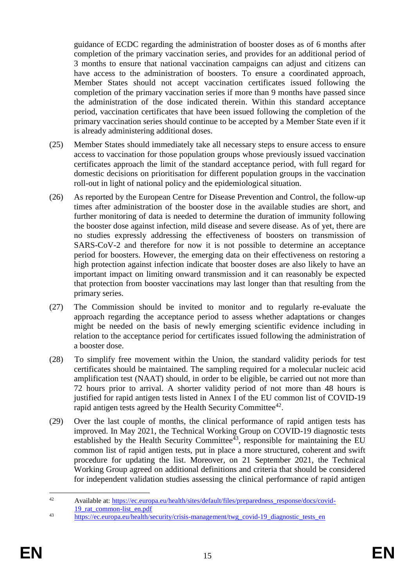guidance of ECDC regarding the administration of booster doses as of 6 months after completion of the primary vaccination series, and provides for an additional period of 3 months to ensure that national vaccination campaigns can adjust and citizens can have access to the administration of boosters. To ensure a coordinated approach, Member States should not accept vaccination certificates issued following the completion of the primary vaccination series if more than 9 months have passed since the administration of the dose indicated therein. Within this standard acceptance period, vaccination certificates that have been issued following the completion of the primary vaccination series should continue to be accepted by a Member State even if it is already administering additional doses.

- (25) Member States should immediately take all necessary steps to ensure access to ensure access to vaccination for those population groups whose previously issued vaccination certificates approach the limit of the standard acceptance period, with full regard for domestic decisions on prioritisation for different population groups in the vaccination roll-out in light of national policy and the epidemiological situation.
- (26) As reported by the European Centre for Disease Prevention and Control, the follow-up times after administration of the booster dose in the available studies are short, and further monitoring of data is needed to determine the duration of immunity following the booster dose against infection, mild disease and severe disease. As of yet, there are no studies expressly addressing the effectiveness of boosters on transmission of SARS-CoV-2 and therefore for now it is not possible to determine an acceptance period for boosters. However, the emerging data on their effectiveness on restoring a high protection against infection indicate that booster doses are also likely to have an important impact on limiting onward transmission and it can reasonably be expected that protection from booster vaccinations may last longer than that resulting from the primary series.
- (27) The Commission should be invited to monitor and to regularly re-evaluate the approach regarding the acceptance period to assess whether adaptations or changes might be needed on the basis of newly emerging scientific evidence including in relation to the acceptance period for certificates issued following the administration of a booster dose.
- (28) To simplify free movement within the Union, the standard validity periods for test certificates should be maintained. The sampling required for a molecular nucleic acid amplification test (NAAT) should, in order to be eligible, be carried out not more than 72 hours prior to arrival. A shorter validity period of not more than 48 hours is justified for rapid antigen tests listed in Annex I of the EU common list of COVID-19 rapid antigen tests agreed by the Health Security Committee $42$ .
- (29) Over the last couple of months, the clinical performance of rapid antigen tests has improved. In May 2021, the Technical Working Group on COVID-19 diagnostic tests established by the Health Security Committee<sup> $43$ </sup>, responsible for maintaining the EU common list of rapid antigen tests, put in place a more structured, coherent and swift procedure for updating the list. Moreover, on 21 September 2021, the Technical Working Group agreed on additional definitions and criteria that should be considered for independent validation studies assessing the clinical performance of rapid antigen

 $42$ <sup>42</sup> Available at[: https://ec.europa.eu/health/sites/default/files/preparedness\\_response/docs/covid-](https://ec.europa.eu/health/sites/default/files/preparedness_response/docs/covid-19_rat_common-list_en.pdf)19 rat common-list en.pdf

<sup>&</sup>lt;sup>43</sup> [https://ec.europa.eu/health/security/crisis-management/twg\\_covid-19\\_diagnostic\\_tests\\_en](https://ec.europa.eu/health/security/crisis-management/twg_covid-19_diagnostic_tests_en)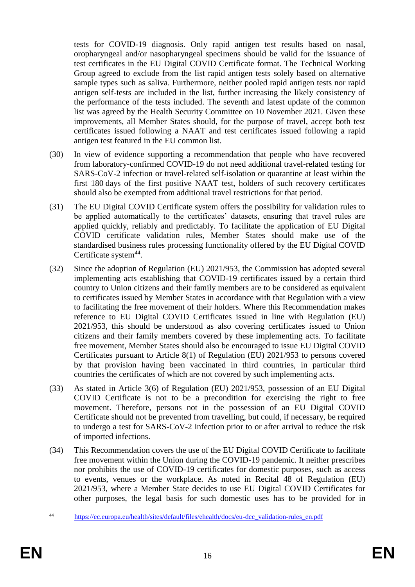tests for COVID-19 diagnosis. Only rapid antigen test results based on nasal, oropharyngeal and/or nasopharyngeal specimens should be valid for the issuance of test certificates in the EU Digital COVID Certificate format. The Technical Working Group agreed to exclude from the list rapid antigen tests solely based on alternative sample types such as saliva. Furthermore, neither pooled rapid antigen tests nor rapid antigen self-tests are included in the list, further increasing the likely consistency of the performance of the tests included. The seventh and latest update of the common list was agreed by the Health Security Committee on 10 November 2021. Given these improvements, all Member States should, for the purpose of travel, accept both test certificates issued following a NAAT and test certificates issued following a rapid antigen test featured in the EU common list.

- (30) In view of evidence supporting a recommendation that people who have recovered from laboratory-confirmed COVID-19 do not need additional travel-related testing for SARS-CoV-2 infection or travel-related self-isolation or quarantine at least within the first 180 days of the first positive NAAT test, holders of such recovery certificates should also be exempted from additional travel restrictions for that period.
- (31) The EU Digital COVID Certificate system offers the possibility for validation rules to be applied automatically to the certificates' datasets, ensuring that travel rules are applied quickly, reliably and predictably. To facilitate the application of EU Digital COVID certificate validation rules, Member States should make use of the standardised business rules processing functionality offered by the EU Digital COVID Certificate system<sup>44</sup>.
- (32) Since the adoption of Regulation (EU) 2021/953, the Commission has adopted several implementing acts establishing that COVID-19 certificates issued by a certain third country to Union citizens and their family members are to be considered as equivalent to certificates issued by Member States in accordance with that Regulation with a view to facilitating the free movement of their holders. Where this Recommendation makes reference to EU Digital COVID Certificates issued in line with Regulation (EU) 2021/953, this should be understood as also covering certificates issued to Union citizens and their family members covered by these implementing acts. To facilitate free movement, Member States should also be encouraged to issue EU Digital COVID Certificates pursuant to Article 8(1) of Regulation (EU) 2021/953 to persons covered by that provision having been vaccinated in third countries, in particular third countries the certificates of which are not covered by such implementing acts.
- (33) As stated in Article 3(6) of Regulation (EU) 2021/953, possession of an EU Digital COVID Certificate is not to be a precondition for exercising the right to free movement. Therefore, persons not in the possession of an EU Digital COVID Certificate should not be prevented from travelling, but could, if necessary, be required to undergo a test for SARS-CoV-2 infection prior to or after arrival to reduce the risk of imported infections.
- (34) This Recommendation covers the use of the EU Digital COVID Certificate to facilitate free movement within the Union during the COVID-19 pandemic. It neither prescribes nor prohibits the use of COVID-19 certificates for domestic purposes, such as access to events, venues or the workplace. As noted in Recital 48 of Regulation (EU) 2021/953, where a Member State decides to use EU Digital COVID Certificates for other purposes, the legal basis for such domestic uses has to be provided for in

 $44$ [https://ec.europa.eu/health/sites/default/files/ehealth/docs/eu-dcc\\_validation-rules\\_en.pdf](https://ec.europa.eu/health/sites/default/files/ehealth/docs/eu-dcc_validation-rules_en.pdf)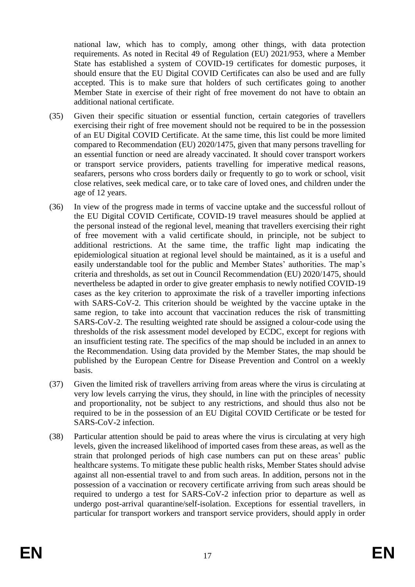national law, which has to comply, among other things, with data protection requirements. As noted in Recital 49 of Regulation (EU) 2021/953, where a Member State has established a system of COVID-19 certificates for domestic purposes, it should ensure that the EU Digital COVID Certificates can also be used and are fully accepted. This is to make sure that holders of such certificates going to another Member State in exercise of their right of free movement do not have to obtain an additional national certificate.

- (35) Given their specific situation or essential function, certain categories of travellers exercising their right of free movement should not be required to be in the possession of an EU Digital COVID Certificate. At the same time, this list could be more limited compared to Recommendation (EU) 2020/1475, given that many persons travelling for an essential function or need are already vaccinated. It should cover transport workers or transport service providers, patients travelling for imperative medical reasons, seafarers, persons who cross borders daily or frequently to go to work or school, visit close relatives, seek medical care, or to take care of loved ones, and children under the age of 12 years.
- (36) In view of the progress made in terms of vaccine uptake and the successful rollout of the EU Digital COVID Certificate, COVID-19 travel measures should be applied at the personal instead of the regional level, meaning that travellers exercising their right of free movement with a valid certificate should, in principle, not be subject to additional restrictions. At the same time, the traffic light map indicating the epidemiological situation at regional level should be maintained, as it is a useful and easily understandable tool for the public and Member States' authorities. The map's criteria and thresholds, as set out in Council Recommendation (EU) 2020/1475, should nevertheless be adapted in order to give greater emphasis to newly notified COVID-19 cases as the key criterion to approximate the risk of a traveller importing infections with SARS-CoV-2. This criterion should be weighted by the vaccine uptake in the same region, to take into account that vaccination reduces the risk of transmitting SARS-CoV-2. The resulting weighted rate should be assigned a colour-code using the thresholds of the risk assessment model developed by ECDC, except for regions with an insufficient testing rate. The specifics of the map should be included in an annex to the Recommendation. Using data provided by the Member States, the map should be published by the European Centre for Disease Prevention and Control on a weekly basis.
- (37) Given the limited risk of travellers arriving from areas where the virus is circulating at very low levels carrying the virus, they should, in line with the principles of necessity and proportionality, not be subject to any restrictions, and should thus also not be required to be in the possession of an EU Digital COVID Certificate or be tested for SARS-CoV-2 infection.
- (38) Particular attention should be paid to areas where the virus is circulating at very high levels, given the increased likelihood of imported cases from these areas, as well as the strain that prolonged periods of high case numbers can put on these areas' public healthcare systems. To mitigate these public health risks, Member States should advise against all non-essential travel to and from such areas. In addition, persons not in the possession of a vaccination or recovery certificate arriving from such areas should be required to undergo a test for SARS-CoV-2 infection prior to departure as well as undergo post-arrival quarantine/self-isolation. Exceptions for essential travellers, in particular for transport workers and transport service providers, should apply in order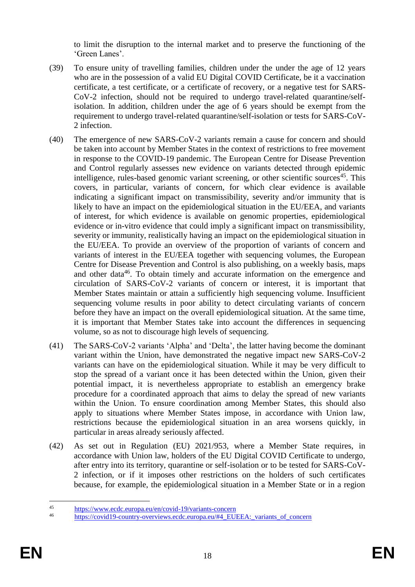to limit the disruption to the internal market and to preserve the functioning of the 'Green Lanes'.

- (39) To ensure unity of travelling families, children under the under the age of 12 years who are in the possession of a valid EU Digital COVID Certificate, be it a vaccination certificate, a test certificate, or a certificate of recovery, or a negative test for SARS-CoV-2 infection, should not be required to undergo travel-related quarantine/selfisolation. In addition, children under the age of 6 years should be exempt from the requirement to undergo travel-related quarantine/self-isolation or tests for SARS-CoV-2 infection.
- (40) The emergence of new SARS-CoV-2 variants remain a cause for concern and should be taken into account by Member States in the context of restrictions to free movement in response to the COVID-19 pandemic. The European Centre for Disease Prevention and Control regularly assesses new evidence on variants detected through epidemic intelligence, rules-based genomic variant screening, or other scientific sources<sup>45</sup>. This covers, in particular, variants of concern, for which clear evidence is available indicating a significant impact on transmissibility, severity and/or immunity that is likely to have an impact on the epidemiological situation in the EU/EEA, and variants of interest, for which evidence is available on genomic properties, epidemiological evidence or in-vitro evidence that could imply a significant impact on transmissibility, severity or immunity, realistically having an impact on the epidemiological situation in the EU/EEA. To provide an overview of the proportion of variants of concern and variants of interest in the EU/EEA together with sequencing volumes, the European Centre for Disease Prevention and Control is also publishing, on a weekly basis, maps and other data<sup>46</sup>. To obtain timely and accurate information on the emergence and circulation of SARS-CoV-2 variants of concern or interest, it is important that Member States maintain or attain a sufficiently high sequencing volume. Insufficient sequencing volume results in poor ability to detect circulating variants of concern before they have an impact on the overall epidemiological situation. At the same time, it is important that Member States take into account the differences in sequencing volume, so as not to discourage high levels of sequencing.
- (41) The SARS-CoV-2 variants 'Alpha' and 'Delta', the latter having become the dominant variant within the Union, have demonstrated the negative impact new SARS-CoV-2 variants can have on the epidemiological situation. While it may be very difficult to stop the spread of a variant once it has been detected within the Union, given their potential impact, it is nevertheless appropriate to establish an emergency brake procedure for a coordinated approach that aims to delay the spread of new variants within the Union. To ensure coordination among Member States, this should also apply to situations where Member States impose, in accordance with Union law, restrictions because the epidemiological situation in an area worsens quickly, in particular in areas already seriously affected.
- (42) As set out in Regulation (EU) 2021/953, where a Member State requires, in accordance with Union law, holders of the EU Digital COVID Certificate to undergo, after entry into its territory, quarantine or self-isolation or to be tested for SARS-CoV-2 infection, or if it imposes other restrictions on the holders of such certificates because, for example, the epidemiological situation in a Member State or in a region

 $45$ <sup>45</sup> <https://www.ecdc.europa.eu/en/covid-19/variants-concern><br>46 https://oxid10.equations-concernious-ande-guide  $\frac{1}{4}$ 

[https://covid19-country-overviews.ecdc.europa.eu/#4\\_EUEEA:\\_variants\\_of\\_concern](https://covid19-country-overviews.ecdc.europa.eu/#4_EUEEA:_variants_of_concern)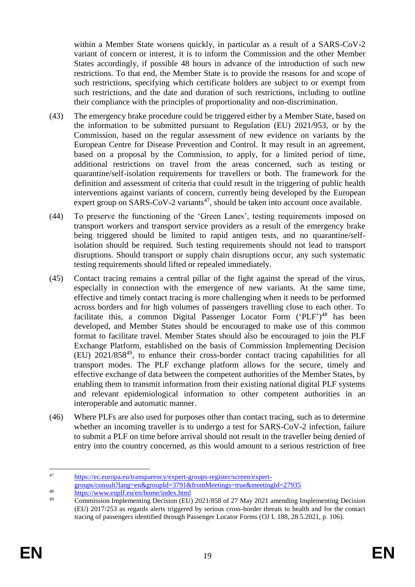within a Member State worsens quickly, in particular as a result of a SARS-CoV-2 variant of concern or interest, it is to inform the Commission and the other Member States accordingly, if possible 48 hours in advance of the introduction of such new restrictions. To that end, the Member State is to provide the reasons for and scope of such restrictions, specifying which certificate holders are subject to or exempt from such restrictions, and the date and duration of such restrictions, including to outline their compliance with the principles of proportionality and non-discrimination.

- (43) The emergency brake procedure could be triggered either by a Member State, based on the information to be submitted pursuant to Regulation (EU) 2021/953, or by the Commission, based on the regular assessment of new evidence on variants by the European Centre for Disease Prevention and Control. It may result in an agreement, based on a proposal by the Commission, to apply, for a limited period of time, additional restrictions on travel from the areas concerned, such as testing or quarantine/self-isolation requirements for travellers or both. The framework for the definition and assessment of criteria that could result in the triggering of public health interventions against variants of concern, currently being developed by the European expert group on SARS-CoV-2 variants<sup>47</sup>, should be taken into account once available.
- (44) To preserve the functioning of the 'Green Lanes', testing requirements imposed on transport workers and transport service providers as a result of the emergency brake being triggered should be limited to rapid antigen tests, and no quarantine/selfisolation should be required. Such testing requirements should not lead to transport disruptions. Should transport or supply chain disruptions occur, any such systematic testing requirements should lifted or repealed immediately.
- (45) Contact tracing remains a central pillar of the fight against the spread of the virus, especially in connection with the emergence of new variants. At the same time, effective and timely contact tracing is more challenging when it needs to be performed across borders and for high volumes of passengers travelling close to each other. To facilitate this, a common Digital Passenger Locator Form ('PLF')<sup>48</sup> has been developed, and Member States should be encouraged to make use of this common format to facilitate travel. Member States should also be encouraged to join the PLF Exchange Platform, established on the basis of Commission Implementing Decision (EU) 2021/858<sup>49</sup> , to enhance their cross-border contact tracing capabilities for all transport modes. The PLF exchange platform allows for the secure, timely and effective exchange of data between the competent authorities of the Member States, by enabling them to transmit information from their existing national digital PLF systems and relevant epidemiological information to other competent authorities in an interoperable and automatic manner.
- (46) Where PLFs are also used for purposes other than contact tracing, such as to determine whether an incoming traveller is to undergo a test for SARS-CoV-2 infection, failure to submit a PLF on time before arrival should not result in the traveller being denied of entry into the country concerned, as this would amount to a serious restriction of free

<sup>1</sup> <sup>47</sup> [https://ec.europa.eu/transparency/expert-groups-register/screen/expert](https://ec.europa.eu/transparency/expert-groups-register/screen/expert-groups/consult?lang=en&groupId=3791&fromMeetings=true&meetingId=27935)[groups/consult?lang=en&groupId=3791&fromMeetings=true&meetingId=27935](https://ec.europa.eu/transparency/expert-groups-register/screen/expert-groups/consult?lang=en&groupId=3791&fromMeetings=true&meetingId=27935)

<sup>48</sup> <https://www.euplf.eu/en/home/index.html><br>49 Commission Innelmentius Desision (EU)

<sup>49</sup> Commission Implementing Decision (EU) 2021/858 of 27 May 2021 amending Implementing Decision (EU) 2017/253 as regards alerts triggered by serious cross-border threats to health and for the contact tracing of passengers identified through Passenger Locator Forms (OJ L 188, 28.5.2021, p. 106).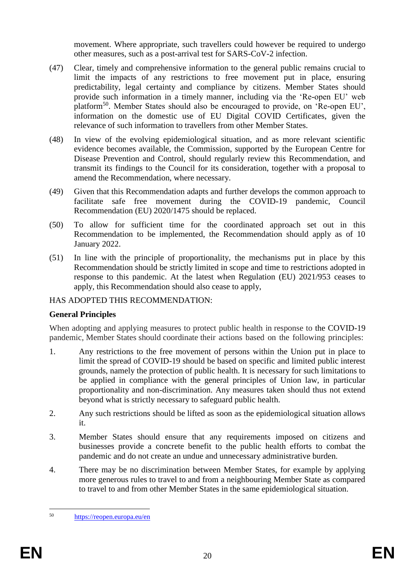movement. Where appropriate, such travellers could however be required to undergo other measures, such as a post-arrival test for SARS-CoV-2 infection.

- (47) Clear, timely and comprehensive information to the general public remains crucial to limit the impacts of any restrictions to free movement put in place, ensuring predictability, legal certainty and compliance by citizens. Member States should provide such information in a timely manner, including via the 'Re-open EU' web platform<sup>50</sup>. Member States should also be encouraged to provide, on 'Re-open EU', information on the domestic use of EU Digital COVID Certificates, given the relevance of such information to travellers from other Member States.
- (48) In view of the evolving epidemiological situation, and as more relevant scientific evidence becomes available, the Commission, supported by the European Centre for Disease Prevention and Control, should regularly review this Recommendation, and transmit its findings to the Council for its consideration, together with a proposal to amend the Recommendation, where necessary.
- (49) Given that this Recommendation adapts and further develops the common approach to facilitate safe free movement during the COVID-19 pandemic, Council Recommendation (EU) 2020/1475 should be replaced.
- (50) To allow for sufficient time for the coordinated approach set out in this Recommendation to be implemented, the Recommendation should apply as of 10 January 2022.
- (51) In line with the principle of proportionality, the mechanisms put in place by this Recommendation should be strictly limited in scope and time to restrictions adopted in response to this pandemic. At the latest when Regulation (EU) 2021/953 ceases to apply, this Recommendation should also cease to apply,

## HAS ADOPTED THIS RECOMMENDATION:

## **General Principles**

When adopting and applying measures to protect public health in response to the COVID-19 pandemic, Member States should coordinate their actions based on the following principles:

- 1. Any restrictions to the free movement of persons within the Union put in place to limit the spread of COVID-19 should be based on specific and limited public interest grounds, namely the protection of public health. It is necessary for such limitations to be applied in compliance with the general principles of Union law, in particular proportionality and non-discrimination. Any measures taken should thus not extend beyond what is strictly necessary to safeguard public health.
- 2. Any such restrictions should be lifted as soon as the epidemiological situation allows it.
- 3. Member States should ensure that any requirements imposed on citizens and businesses provide a concrete benefit to the public health efforts to combat the pandemic and do not create an undue and unnecessary administrative burden.
- 4. There may be no discrimination between Member States, for example by applying more generous rules to travel to and from a neighbouring Member State as compared to travel to and from other Member States in the same epidemiological situation.

<sup>50</sup> <https://reopen.europa.eu/en>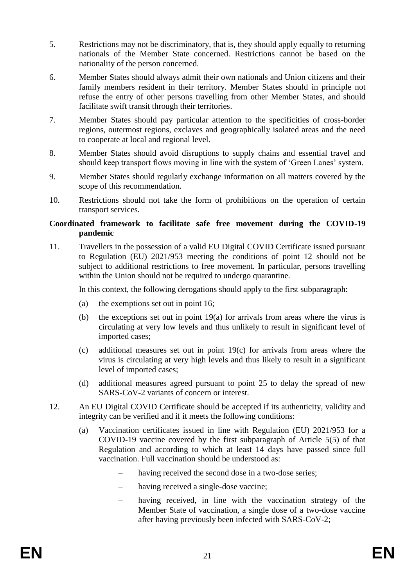- 5. Restrictions may not be discriminatory, that is, they should apply equally to returning nationals of the Member State concerned. Restrictions cannot be based on the nationality of the person concerned.
- 6. Member States should always admit their own nationals and Union citizens and their family members resident in their territory. Member States should in principle not refuse the entry of other persons travelling from other Member States, and should facilitate swift transit through their territories.
- 7. Member States should pay particular attention to the specificities of cross-border regions, outermost regions, exclaves and geographically isolated areas and the need to cooperate at local and regional level.
- 8. Member States should avoid disruptions to supply chains and essential travel and should keep transport flows moving in line with the system of 'Green Lanes' system.
- 9. Member States should regularly exchange information on all matters covered by the scope of this recommendation.
- 10. Restrictions should not take the form of prohibitions on the operation of certain transport services.

#### **Coordinated framework to facilitate safe free movement during the COVID-19 pandemic**

11. Travellers in the possession of a valid EU Digital COVID Certificate issued pursuant to Regulation (EU) 2021/953 meeting the conditions of point 12 should not be subject to additional restrictions to free movement. In particular, persons travelling within the Union should not be required to undergo quarantine.

In this context, the following derogations should apply to the first subparagraph:

- (a) the exemptions set out in point 16;
- (b) the exceptions set out in point 19(a) for arrivals from areas where the virus is circulating at very low levels and thus unlikely to result in significant level of imported cases;
- (c) additional measures set out in point 19(c) for arrivals from areas where the virus is circulating at very high levels and thus likely to result in a significant level of imported cases;
- (d) additional measures agreed pursuant to point 25 to delay the spread of new SARS-CoV-2 variants of concern or interest.
- 12. An EU Digital COVID Certificate should be accepted if its authenticity, validity and integrity can be verified and if it meets the following conditions:
	- (a) Vaccination certificates issued in line with Regulation (EU) 2021/953 for a COVID-19 vaccine covered by the first subparagraph of Article 5(5) of that Regulation and according to which at least 14 days have passed since full vaccination. Full vaccination should be understood as:
		- having received the second dose in a two-dose series;
		- having received a single-dose vaccine;
		- having received, in line with the vaccination strategy of the Member State of vaccination, a single dose of a two-dose vaccine after having previously been infected with SARS-CoV-2;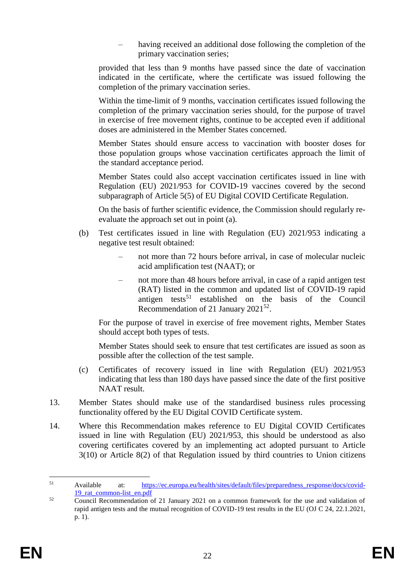having received an additional dose following the completion of the primary vaccination series;

provided that less than 9 months have passed since the date of vaccination indicated in the certificate, where the certificate was issued following the completion of the primary vaccination series.

Within the time-limit of 9 months, vaccination certificates issued following the completion of the primary vaccination series should, for the purpose of travel in exercise of free movement rights, continue to be accepted even if additional doses are administered in the Member States concerned.

Member States should ensure access to vaccination with booster doses for those population groups whose vaccination certificates approach the limit of the standard acceptance period.

Member States could also accept vaccination certificates issued in line with Regulation (EU) 2021/953 for COVID-19 vaccines covered by the second subparagraph of Article 5(5) of EU Digital COVID Certificate Regulation.

On the basis of further scientific evidence, the Commission should regularly reevaluate the approach set out in point (a).

- (b) Test certificates issued in line with Regulation (EU) 2021/953 indicating a negative test result obtained:
	- not more than 72 hours before arrival, in case of molecular nucleic acid amplification test (NAAT); or
	- not more than 48 hours before arrival, in case of a rapid antigen test (RAT) listed in the common and updated list of COVID-19 rapid antigen tests<sup>51</sup> established on the basis of the Council Recommendation of 21 January 2021<sup>52</sup>.

For the purpose of travel in exercise of free movement rights, Member States should accept both types of tests.

Member States should seek to ensure that test certificates are issued as soon as possible after the collection of the test sample.

- (c) Certificates of recovery issued in line with Regulation (EU) 2021/953 indicating that less than 180 days have passed since the date of the first positive NAAT result.
- 13. Member States should make use of the standardised business rules processing functionality offered by the EU Digital COVID Certificate system.
- 14. Where this Recommendation makes reference to EU Digital COVID Certificates issued in line with Regulation (EU) 2021/953, this should be understood as also covering certificates covered by an implementing act adopted pursuant to Article 3(10) or Article 8(2) of that Regulation issued by third countries to Union citizens

<sup>1</sup> <sup>51</sup> Available at: [https://ec.europa.eu/health/sites/default/files/preparedness\\_response/docs/covid-](https://ec.europa.eu/health/sites/default/files/preparedness_response/docs/covid-19_rat_common-list_en.pdf)19 rat common-list en.pdf

 $\overline{\text{Council Recommentation of 21 January 2021 on a common framework for the use and validation of 21.}$ rapid antigen tests and the mutual recognition of COVID-19 test results in the EU (OJ C 24, 22.1.2021, p. 1).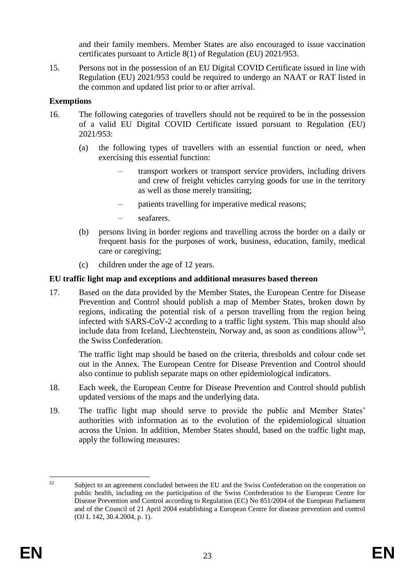and their family members. Member States are also encouraged to issue vaccination certificates pursuant to Article 8(1) of Regulation (EU) 2021/953.

15. Persons not in the possession of an EU Digital COVID Certificate issued in line with Regulation (EU) 2021/953 could be required to undergo an NAAT or RAT listed in the common and updated list prior to or after arrival.

## **Exemptions**

- 16. The following categories of travellers should not be required to be in the possession of a valid EU Digital COVID Certificate issued pursuant to Regulation (EU) 2021/953:
	- (a) the following types of travellers with an essential function or need, when exercising this essential function:
		- transport workers or transport service providers, including drivers and crew of freight vehicles carrying goods for use in the territory as well as those merely transiting;
		- patients travelling for imperative medical reasons;
		- seafarers.
	- (b) persons living in border regions and travelling across the border on a daily or frequent basis for the purposes of work, business, education, family, medical care or caregiving;
	- (c) children under the age of 12 years.

# **EU traffic light map and exceptions and additional measures based thereon**

17. Based on the data provided by the Member States, the European Centre for Disease Prevention and Control should publish a map of Member States, broken down by regions, indicating the potential risk of a person travelling from the region being infected with SARS-CoV-2 according to a traffic light system. This map should also include data from Iceland, Liechtenstein, Norway and, as soon as conditions allow<sup>53</sup>, the Swiss Confederation.

The traffic light map should be based on the criteria, thresholds and colour code set out in the Annex. The European Centre for Disease Prevention and Control should also continue to publish separate maps on other epidemiological indicators.

- 18. Each week, the European Centre for Disease Prevention and Control should publish updated versions of the maps and the underlying data.
- 19. The traffic light map should serve to provide the public and Member States' authorities with information as to the evolution of the epidemiological situation across the Union. In addition, Member States should, based on the traffic light map, apply the following measures:

<sup>53</sup> Subject to an agreement concluded between the EU and the Swiss Confederation on the cooperation on public health, including on the participation of the Swiss Confederation to the European Centre for Disease Prevention and Control according to Regulation (EC) No 851/2004 of the European Parliament and of the Council of 21 April 2004 establishing a European Centre for disease prevention and control (OJ L 142, 30.4.2004, p. 1).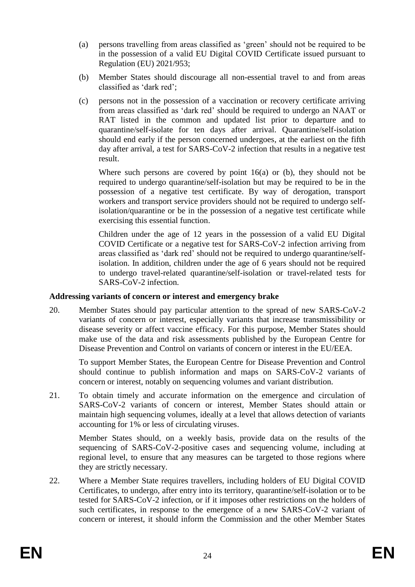- (a) persons travelling from areas classified as 'green' should not be required to be in the possession of a valid EU Digital COVID Certificate issued pursuant to Regulation (EU) 2021/953;
- (b) Member States should discourage all non-essential travel to and from areas classified as 'dark red';
- (c) persons not in the possession of a vaccination or recovery certificate arriving from areas classified as 'dark red' should be required to undergo an NAAT or RAT listed in the common and updated list prior to departure and to quarantine/self-isolate for ten days after arrival. Quarantine/self-isolation should end early if the person concerned undergoes, at the earliest on the fifth day after arrival, a test for SARS-CoV-2 infection that results in a negative test result.

Where such persons are covered by point  $16(a)$  or (b), they should not be required to undergo quarantine/self-isolation but may be required to be in the possession of a negative test certificate. By way of derogation, transport workers and transport service providers should not be required to undergo selfisolation/quarantine or be in the possession of a negative test certificate while exercising this essential function.

Children under the age of 12 years in the possession of a valid EU Digital COVID Certificate or a negative test for SARS-CoV-2 infection arriving from areas classified as 'dark red' should not be required to undergo quarantine/selfisolation. In addition, children under the age of 6 years should not be required to undergo travel-related quarantine/self-isolation or travel-related tests for SARS-CoV-2 infection.

#### **Addressing variants of concern or interest and emergency brake**

20. Member States should pay particular attention to the spread of new SARS-CoV-2 variants of concern or interest, especially variants that increase transmissibility or disease severity or affect vaccine efficacy. For this purpose, Member States should make use of the data and risk assessments published by the European Centre for Disease Prevention and Control on variants of concern or interest in the EU/EEA.

To support Member States, the European Centre for Disease Prevention and Control should continue to publish information and maps on SARS-CoV-2 variants of concern or interest, notably on sequencing volumes and variant distribution.

21. To obtain timely and accurate information on the emergence and circulation of SARS-CoV-2 variants of concern or interest, Member States should attain or maintain high sequencing volumes, ideally at a level that allows detection of variants accounting for 1% or less of circulating viruses.

Member States should, on a weekly basis, provide data on the results of the sequencing of SARS-CoV-2-positive cases and sequencing volume, including at regional level, to ensure that any measures can be targeted to those regions where they are strictly necessary.

22. Where a Member State requires travellers, including holders of EU Digital COVID Certificates, to undergo, after entry into its territory, quarantine/self-isolation or to be tested for SARS-CoV-2 infection, or if it imposes other restrictions on the holders of such certificates, in response to the emergence of a new SARS-CoV-2 variant of concern or interest, it should inform the Commission and the other Member States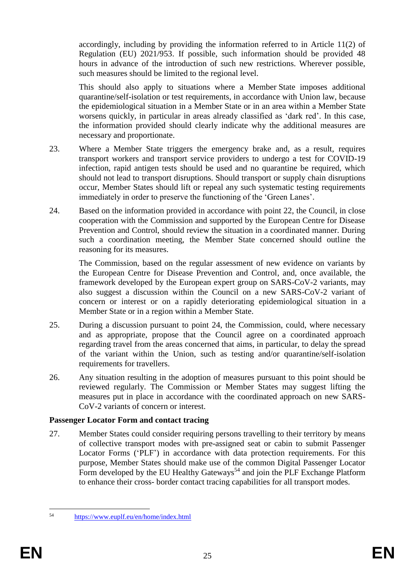accordingly, including by providing the information referred to in Article 11(2) of Regulation (EU) 2021/953. If possible, such information should be provided 48 hours in advance of the introduction of such new restrictions. Wherever possible, such measures should be limited to the regional level.

This should also apply to situations where a Member State imposes additional quarantine/self-isolation or test requirements, in accordance with Union law, because the epidemiological situation in a Member State or in an area within a Member State worsens quickly, in particular in areas already classified as 'dark red'. In this case, the information provided should clearly indicate why the additional measures are necessary and proportionate.

- 23. Where a Member State triggers the emergency brake and, as a result, requires transport workers and transport service providers to undergo a test for COVID-19 infection, rapid antigen tests should be used and no quarantine be required, which should not lead to transport disruptions. Should transport or supply chain disruptions occur, Member States should lift or repeal any such systematic testing requirements immediately in order to preserve the functioning of the 'Green Lanes'.
- 24. Based on the information provided in accordance with point 22, the Council, in close cooperation with the Commission and supported by the European Centre for Disease Prevention and Control, should review the situation in a coordinated manner. During such a coordination meeting, the Member State concerned should outline the reasoning for its measures.

The Commission, based on the regular assessment of new evidence on variants by the European Centre for Disease Prevention and Control, and, once available, the framework developed by the European expert group on SARS-CoV-2 variants, may also suggest a discussion within the Council on a new SARS-CoV-2 variant of concern or interest or on a rapidly deteriorating epidemiological situation in a Member State or in a region within a Member State.

- 25. During a discussion pursuant to point 24, the Commission, could, where necessary and as appropriate, propose that the Council agree on a coordinated approach regarding travel from the areas concerned that aims, in particular, to delay the spread of the variant within the Union, such as testing and/or quarantine/self-isolation requirements for travellers.
- 26. Any situation resulting in the adoption of measures pursuant to this point should be reviewed regularly. The Commission or Member States may suggest lifting the measures put in place in accordance with the coordinated approach on new SARS-CoV-2 variants of concern or interest.

## **Passenger Locator Form and contact tracing**

27. Member States could consider requiring persons travelling to their territory by means of collective transport modes with pre-assigned seat or cabin to submit Passenger Locator Forms ('PLF') in accordance with data protection requirements. For this purpose, Member States should make use of the common Digital Passenger Locator Form developed by the EU Healthy Gateways<sup>54</sup> and join the PLF Exchange Platform to enhance their cross- border contact tracing capabilities for all transport modes.

<sup>54</sup> <sup>54</sup> <https://www.euplf.eu/en/home/index.html>